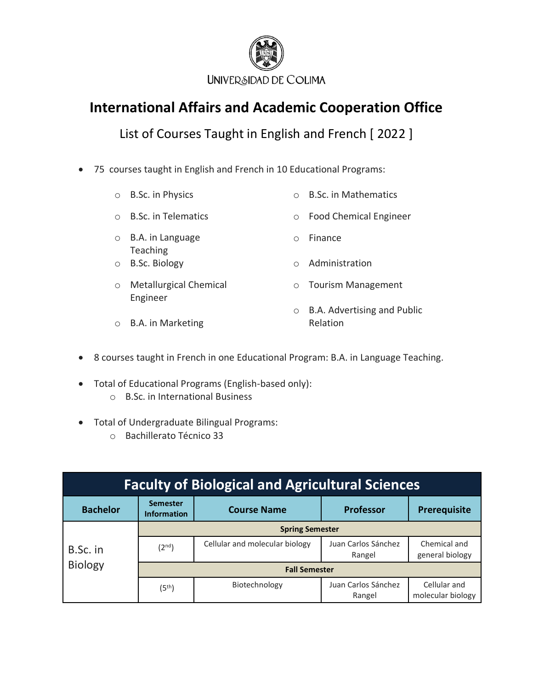

List of Courses Taught in English and French [ 2022 ]

• 75 courses taught in English and French in 10 Educational Programs:

| $\circ$ | B.Sc. in Physics                          |           | <b>B.Sc. in Mathematics</b>             |
|---------|-------------------------------------------|-----------|-----------------------------------------|
|         | <b>B.Sc. in Telematics</b>                | $\circ$   | <b>Food Chemical Engineer</b>           |
| $\circ$ | B.A. in Language<br>Teaching              | $\bigcap$ | Finance                                 |
|         | <b>B.Sc. Biology</b>                      |           | Administration                          |
| $\circ$ | <b>Metallurgical Chemical</b><br>Engineer | $\circ$   | <b>Tourism Management</b>               |
|         | B.A. in Marketing                         | $\circ$   | B.A. Advertising and Public<br>Relation |

- 8 courses taught in French in one Educational Program: B.A. in Language Teaching.
- Total of Educational Programs (English-based only):
	- o B.Sc. in International Business
- Total of Undergraduate Bilingual Programs:
	- o Bachillerato Técnico 33

| <b>Faculty of Biological and Agricultural Sciences</b> |                                       |                                |                               |                                   |  |
|--------------------------------------------------------|---------------------------------------|--------------------------------|-------------------------------|-----------------------------------|--|
| <b>Bachelor</b>                                        | <b>Semester</b><br><b>Information</b> | <b>Course Name</b>             | <b>Professor</b>              | Prerequisite                      |  |
|                                                        | <b>Spring Semester</b>                |                                |                               |                                   |  |
| B.Sc. in                                               | (2 <sup>nd</sup> )                    | Cellular and molecular biology | Juan Carlos Sánchez<br>Rangel | Chemical and<br>general biology   |  |
| <b>Biology</b>                                         |                                       | <b>Fall Semester</b>           |                               |                                   |  |
|                                                        | (5 <sup>th</sup> )                    | Biotechnology                  | Juan Carlos Sánchez<br>Rangel | Cellular and<br>molecular biology |  |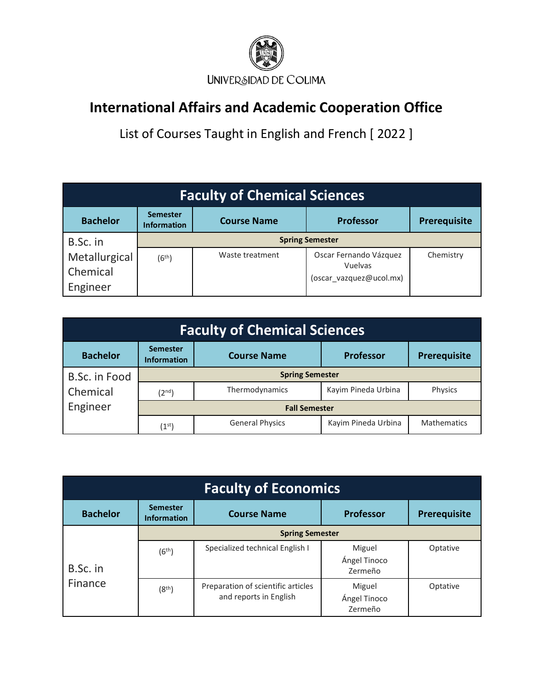

| <b>Faculty of Chemical Sciences</b>   |                                       |                    |                                                              |              |  |
|---------------------------------------|---------------------------------------|--------------------|--------------------------------------------------------------|--------------|--|
| <b>Bachelor</b>                       | <b>Semester</b><br><b>Information</b> | <b>Course Name</b> | <b>Professor</b>                                             | Prerequisite |  |
| B.Sc. in                              | <b>Spring Semester</b>                |                    |                                                              |              |  |
| Metallurgical<br>Chemical<br>Engineer | (6 <sup>th</sup> )                    | Waste treatment    | Oscar Fernando Vázquez<br>Vuelvas<br>(oscar vazquez@ucol.mx) | Chemistry    |  |

| <b>Faculty of Chemical Sciences</b> |                                       |                        |                     |                    |  |
|-------------------------------------|---------------------------------------|------------------------|---------------------|--------------------|--|
| <b>Bachelor</b>                     | <b>Semester</b><br><b>Information</b> | <b>Course Name</b>     | <b>Professor</b>    | Prerequisite       |  |
| B.Sc. in Food                       | <b>Spring Semester</b>                |                        |                     |                    |  |
| Chemical                            | (2 <sup>nd</sup> )                    | Thermodynamics         | Kayim Pineda Urbina | Physics            |  |
| Engineer                            | <b>Fall Semester</b>                  |                        |                     |                    |  |
|                                     | $(1^{\rm st})$                        | <b>General Physics</b> | Kayim Pineda Urbina | <b>Mathematics</b> |  |

| <b>Faculty of Economics</b> |                                       |                                                              |                                   |              |  |
|-----------------------------|---------------------------------------|--------------------------------------------------------------|-----------------------------------|--------------|--|
| <b>Bachelor</b>             | <b>Semester</b><br><b>Information</b> | <b>Course Name</b>                                           | <b>Professor</b>                  | Prerequisite |  |
|                             | <b>Spring Semester</b>                |                                                              |                                   |              |  |
| B.Sc. in                    | (6 <sup>th</sup> )                    | Specialized technical English I                              | Miguel<br>Ángel Tinoco<br>Zermeño | Optative     |  |
| Finance                     | (8 <sup>th</sup> )                    | Preparation of scientific articles<br>and reports in English | Miguel<br>Ángel Tinoco<br>Zermeño | Optative     |  |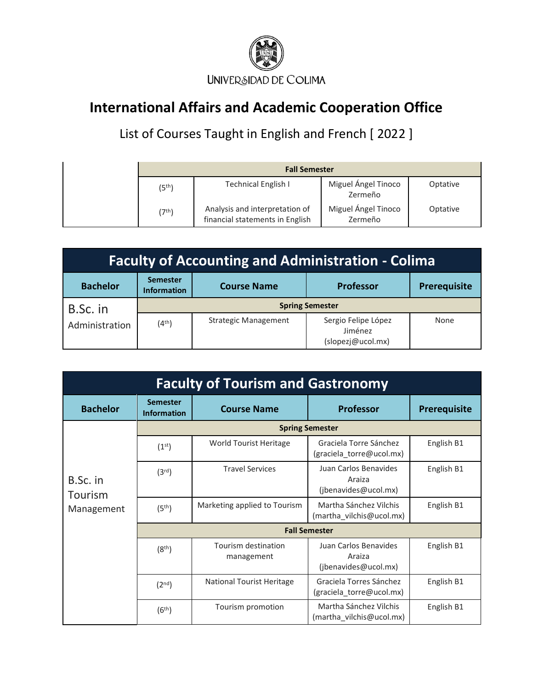

| <b>Fall Semester</b> |                                                                   |                                |          |
|----------------------|-------------------------------------------------------------------|--------------------------------|----------|
| (5 <sup>th</sup> )   | <b>Technical English I</b>                                        | Miguel Ángel Tinoco<br>Zermeño | Optative |
| (7 <sup>th</sup> )   | Analysis and interpretation of<br>financial statements in English | Miguel Ángel Tinoco<br>Zermeño | Optative |

| <b>Faculty of Accounting and Administration - Colima</b> |                                       |                             |                                                     |              |  |
|----------------------------------------------------------|---------------------------------------|-----------------------------|-----------------------------------------------------|--------------|--|
| <b>Bachelor</b>                                          | <b>Semester</b><br><b>Information</b> | <b>Course Name</b>          | Professor                                           | Prerequisite |  |
| B.Sc. in                                                 |                                       | <b>Spring Semester</b>      |                                                     |              |  |
| Administration                                           | (4 <sup>th</sup> )                    | <b>Strategic Management</b> | Sergio Felipe López<br>Jiménez<br>(slopezj@ucol.mx) | None         |  |

| <b>Faculty of Tourism and Gastronomy</b> |                                       |                                   |                                                         |                     |  |
|------------------------------------------|---------------------------------------|-----------------------------------|---------------------------------------------------------|---------------------|--|
| <b>Bachelor</b>                          | <b>Semester</b><br><b>Information</b> | <b>Course Name</b>                | Professor                                               | <b>Prerequisite</b> |  |
|                                          |                                       |                                   | <b>Spring Semester</b>                                  |                     |  |
|                                          | (1 <sup>st</sup> )                    | World Tourist Heritage            | Graciela Torre Sánchez<br>(graciela_torre@ucol.mx)      | English B1          |  |
| B.Sc. in<br>Tourism                      | (3 <sup>rd</sup> )                    | <b>Travel Services</b>            | Juan Carlos Benavides<br>Araiza<br>(jbenavides@ucol.mx) | English B1          |  |
| Management                               | (5 <sup>th</sup> )                    | Marketing applied to Tourism      | Martha Sánchez Vilchis<br>(martha_vilchis@ucol.mx)      | English B1          |  |
|                                          | <b>Fall Semester</b>                  |                                   |                                                         |                     |  |
|                                          | (8 <sup>th</sup> )                    | Tourism destination<br>management | Juan Carlos Benavides<br>Araiza<br>(jbenavides@ucol.mx) | English B1          |  |
|                                          | (2 <sup>nd</sup> )                    | <b>National Tourist Heritage</b>  | Graciela Torres Sánchez<br>(graciela_torre@ucol.mx)     | English B1          |  |
|                                          | (6 <sup>th</sup> )                    | Tourism promotion                 | Martha Sánchez Vilchis<br>(martha_vilchis@ucol.mx)      | English B1          |  |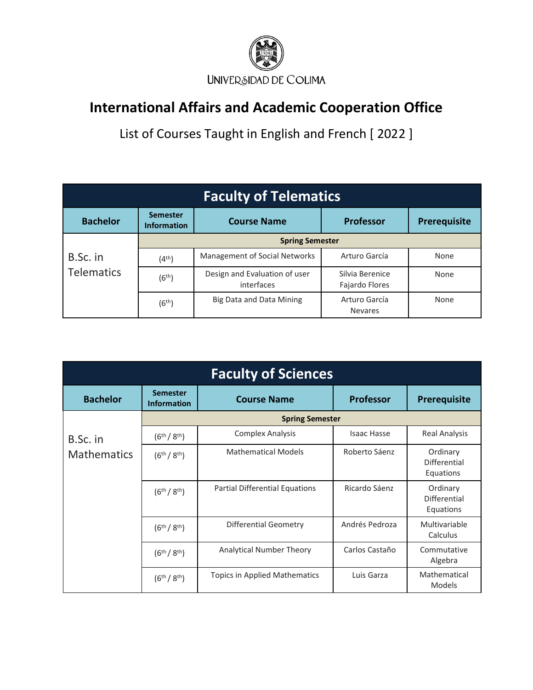

| <b>Faculty of Telematics</b> |                                       |                                             |                                   |              |  |
|------------------------------|---------------------------------------|---------------------------------------------|-----------------------------------|--------------|--|
| <b>Bachelor</b>              | <b>Semester</b><br><b>Information</b> | <b>Course Name</b>                          | <b>Professor</b>                  | Prerequisite |  |
|                              | <b>Spring Semester</b>                |                                             |                                   |              |  |
| B.Sc. in                     | (4 <sup>th</sup> )                    | Management of Social Networks               | Arturo García                     | None         |  |
| <b>Telematics</b>            | (6 <sup>th</sup> )                    | Design and Evaluation of user<br>interfaces | Silvia Berenice<br>Fajardo Flores | None         |  |
|                              | (6 <sup>th</sup> )                    | Big Data and Data Mining                    | Arturo García<br><b>Nevares</b>   | None         |  |

| <b>Faculty of Sciences</b> |                                       |                                       |                    |                                       |
|----------------------------|---------------------------------------|---------------------------------------|--------------------|---------------------------------------|
| <b>Bachelor</b>            | <b>Semester</b><br><b>Information</b> | <b>Course Name</b>                    | <b>Professor</b>   | Prerequisite                          |
|                            |                                       | <b>Spring Semester</b>                |                    |                                       |
| B.Sc. in                   | $(6^{th}/8^{th})$                     | <b>Complex Analysis</b>               | <b>Isaac Hasse</b> | <b>Real Analysis</b>                  |
| <b>Mathematics</b>         | $(6^{th}/8^{th})$                     | <b>Mathematical Models</b>            | Roberto Sáenz      | Ordinary<br>Differential<br>Equations |
|                            | $(6^{th}/8^{th})$                     | <b>Partial Differential Equations</b> | Ricardo Sáenz      | Ordinary<br>Differential<br>Equations |
|                            | $(6^{th}/8^{th})$                     | <b>Differential Geometry</b>          | Andrés Pedroza     | Multivariable<br>Calculus             |
|                            | $(6^{th}/8^{th})$                     | <b>Analytical Number Theory</b>       | Carlos Castaño     | Commutative<br>Algebra                |
|                            | $(6^{th}/8^{th})$                     | Topics in Applied Mathematics         | Luis Garza         | Mathematical<br>Models                |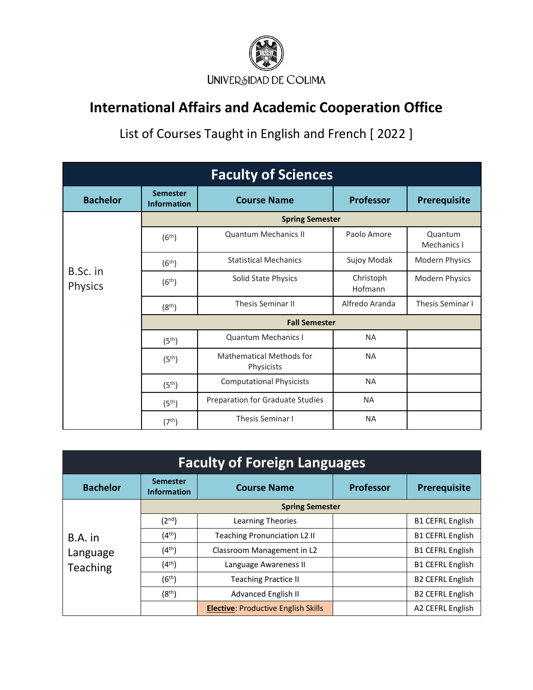

| <b>Faculty of Sciences</b> |                                       |                                               |                      |                        |  |
|----------------------------|---------------------------------------|-----------------------------------------------|----------------------|------------------------|--|
| <b>Bachelor</b>            | <b>Semester</b><br><b>Information</b> | <b>Course Name</b>                            | <b>Professor</b>     | <b>Prerequisite</b>    |  |
|                            |                                       | <b>Spring Semester</b>                        |                      |                        |  |
|                            | (6 <sup>th</sup> )                    | <b>Quantum Mechanics II</b>                   | Paolo Amore          | Quantum<br>Mechanics I |  |
|                            | (6 <sup>th</sup> )                    | <b>Statistical Mechanics</b>                  | Sujoy Modak          | <b>Modern Physics</b>  |  |
| B.Sc. in<br><b>Physics</b> | (6 <sup>th</sup> )                    | Solid State Physics                           | Christoph<br>Hofmann | Modern Physics         |  |
|                            | (8 <sup>th</sup> )                    | <b>Thesis Seminar II</b>                      | Alfredo Aranda       | Thesis Seminar I       |  |
|                            | <b>Fall Semester</b>                  |                                               |                      |                        |  |
|                            | (5 <sup>th</sup> )                    | <b>Quantum Mechanics I</b>                    | <b>NA</b>            |                        |  |
|                            | (5 <sup>th</sup> )                    | <b>Mathematical Methods for</b><br>Physicists | <b>NA</b>            |                        |  |
|                            | (5 <sup>th</sup> )                    | <b>Computational Physicists</b>               | <b>NA</b>            |                        |  |
|                            | (5 <sup>th</sup> )                    | Preparation for Graduate Studies              | <b>NA</b>            |                        |  |
|                            | (7 <sup>th</sup> )                    | <b>Thesis Seminar I</b>                       | <b>NA</b>            |                        |  |

| <b>Faculty of Foreign Languages</b> |                                       |                                            |                  |                         |
|-------------------------------------|---------------------------------------|--------------------------------------------|------------------|-------------------------|
| <b>Bachelor</b>                     | <b>Semester</b><br><b>Information</b> | <b>Course Name</b>                         | <b>Professor</b> | Prerequisite            |
|                                     |                                       | <b>Spring Semester</b>                     |                  |                         |
|                                     | (2 <sup>nd</sup> )                    | Learning Theories                          |                  | <b>B1 CEFRL English</b> |
| B.A. in                             | (4 <sup>th</sup> )                    | <b>Teaching Pronunciation L2 II</b>        |                  | <b>B1 CEFRL English</b> |
| Language                            | (4 <sup>th</sup> )                    | Classroom Management in L2                 |                  | <b>B1 CEFRL English</b> |
| Teaching                            | (4 <sup>th</sup> )                    | Language Awareness II                      |                  | <b>B1 CEFRL English</b> |
|                                     | (6 <sup>th</sup> )                    | <b>Teaching Practice II</b>                |                  | <b>B2 CEFRL English</b> |
|                                     | (8 <sup>th</sup> )                    | Advanced English II                        |                  | <b>B2 CEFRL English</b> |
|                                     |                                       | <b>Elective: Productive English Skills</b> |                  | A2 CEFRL English        |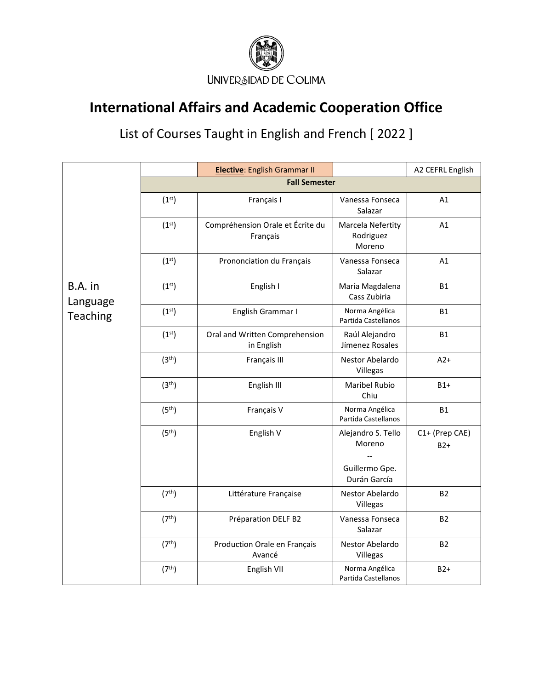

|                                 |                      | <b>Elective:</b> English Grammar II          |                                                                | A2 CEFRL English        |  |  |
|---------------------------------|----------------------|----------------------------------------------|----------------------------------------------------------------|-------------------------|--|--|
|                                 | <b>Fall Semester</b> |                                              |                                                                |                         |  |  |
| B.A. in<br>Language<br>Teaching | (1 <sup>st</sup> )   | Français I                                   | Vanessa Fonseca<br>Salazar                                     | A1                      |  |  |
|                                 | (1 <sup>st</sup> )   | Compréhension Orale et Écrite du<br>Français | Marcela Nefertity<br>Rodriguez<br>Moreno                       | A1                      |  |  |
|                                 | (1 <sup>st</sup> )   | Prononciation du Français                    | Vanessa Fonseca<br>Salazar                                     | A1                      |  |  |
|                                 | (1 <sup>st</sup> )   | English I                                    | María Magdalena<br>Cass Zubiria                                | <b>B1</b>               |  |  |
|                                 | (1 <sup>st</sup> )   | English Grammar I                            | Norma Angélica<br>Partida Castellanos                          | <b>B1</b>               |  |  |
|                                 | (1 <sup>st</sup> )   | Oral and Written Comprehension<br>in English | Raúl Alejandro<br>Jímenez Rosales                              | <b>B1</b>               |  |  |
|                                 | (3 <sup>th</sup> )   | Français III                                 | Nestor Abelardo<br>Villegas                                    | $A2+$                   |  |  |
|                                 | (3 <sup>th</sup> )   | English III                                  | <b>Maribel Rubio</b><br>Chiu                                   | $B1+$                   |  |  |
|                                 | (5 <sup>th</sup> )   | Français V                                   | Norma Angélica<br>Partida Castellanos                          | <b>B1</b>               |  |  |
|                                 | (5 <sup>th</sup> )   | English V                                    | Alejandro S. Tello<br>Moreno<br>Guillermo Gpe.<br>Durán García | C1+ (Prep CAE)<br>$B2+$ |  |  |
|                                 | (7 <sup>th</sup> )   | Littérature Française                        | Nestor Abelardo<br>Villegas                                    | <b>B2</b>               |  |  |
|                                 | (7 <sup>th</sup> )   | Préparation DELF B2                          | Vanessa Fonseca<br>Salazar                                     | <b>B2</b>               |  |  |
|                                 | (7 <sup>th</sup> )   | Production Orale en Français<br>Avancé       | Nestor Abelardo<br>Villegas                                    | <b>B2</b>               |  |  |
|                                 | (7 <sup>th</sup> )   | English VII                                  | Norma Angélica<br>Partida Castellanos                          | $B2+$                   |  |  |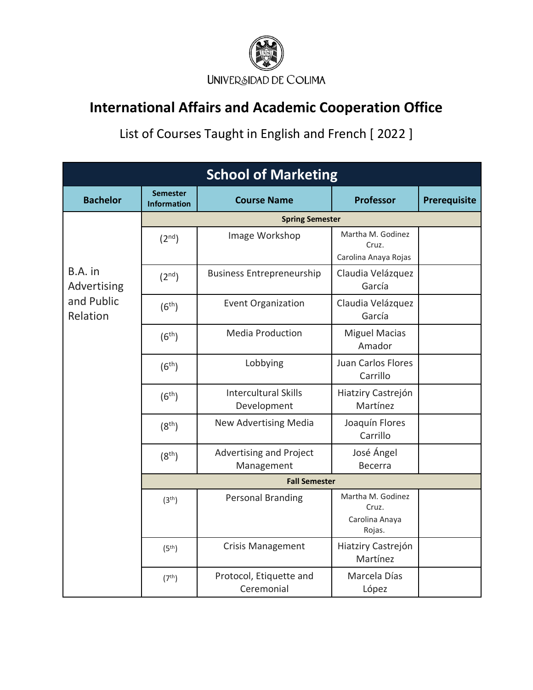

| <b>School of Marketing</b>                       |                                       |                                            |                                                        |              |  |
|--------------------------------------------------|---------------------------------------|--------------------------------------------|--------------------------------------------------------|--------------|--|
| <b>Bachelor</b>                                  | <b>Semester</b><br><b>Information</b> | <b>Course Name</b>                         | <b>Professor</b>                                       | Prerequisite |  |
|                                                  | <b>Spring Semester</b>                |                                            |                                                        |              |  |
| B.A. in<br>Advertising<br>and Public<br>Relation | (2 <sup>nd</sup> )                    | Image Workshop                             | Martha M. Godinez<br>Cruz.<br>Carolina Anaya Rojas     |              |  |
|                                                  | (2 <sup>nd</sup> )                    | <b>Business Entrepreneurship</b>           | Claudia Velázquez<br>García                            |              |  |
|                                                  | (6 <sup>th</sup> )                    | <b>Event Organization</b>                  | Claudia Velázquez<br>García                            |              |  |
|                                                  | (6 <sup>th</sup> )                    | <b>Media Production</b>                    | <b>Miguel Macias</b><br>Amador                         |              |  |
|                                                  | (6 <sup>th</sup> )                    | Lobbying                                   | Juan Carlos Flores<br>Carrillo                         |              |  |
|                                                  | (6 <sup>th</sup> )                    | <b>Intercultural Skills</b><br>Development | Hiatziry Castrejón<br>Martínez                         |              |  |
|                                                  | (8 <sup>th</sup> )                    | New Advertising Media                      | Joaquín Flores<br>Carrillo                             |              |  |
|                                                  | (8 <sup>th</sup> )                    | Advertising and Project<br>Management      | José Ángel<br><b>Becerra</b>                           |              |  |
|                                                  | <b>Fall Semester</b>                  |                                            |                                                        |              |  |
|                                                  | (3 <sup>th</sup> )                    | <b>Personal Branding</b>                   | Martha M. Godinez<br>Cruz.<br>Carolina Anaya<br>Rojas. |              |  |
|                                                  | (5 <sup>th</sup> )                    | <b>Crisis Management</b>                   | Hiatziry Castrejón<br>Martínez                         |              |  |
|                                                  | (7 <sup>th</sup> )                    | Protocol, Etiquette and<br>Ceremonial      | Marcela Días<br>López                                  |              |  |